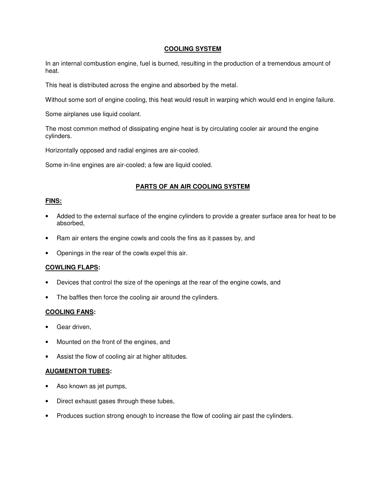#### **COOLING SYSTEM**

In an internal combustion engine, fuel is burned, resulting in the production of a tremendous amount of heat.

This heat is distributed across the engine and absorbed by the metal.

Without some sort of engine cooling, this heat would result in warping which would end in engine failure.

Some airplanes use liquid coolant.

The most common method of dissipating engine heat is by circulating cooler air around the engine cylinders.

Horizontally opposed and radial engines are air-cooled.

Some in-line engines are air-cooled; a few are liquid cooled.

# **PARTS OF AN AIR COOLING SYSTEM**

# **FINS:**

- Added to the external surface of the engine cylinders to provide a greater surface area for heat to be absorbed,
- Ram air enters the engine cowls and cools the fins as it passes by, and
- Openings in the rear of the cowls expel this air.

#### **COWLING FLAPS:**

- Devices that control the size of the openings at the rear of the engine cowls, and
- The baffles then force the cooling air around the cylinders.

#### **COOLING FANS:**

- Gear driven,
- Mounted on the front of the engines, and
- Assist the flow of cooling air at higher altitudes.

# **AUGMENTOR TUBES:**

- Aso known as jet pumps,
- Direct exhaust gases through these tubes,
- Produces suction strong enough to increase the flow of cooling air past the cylinders.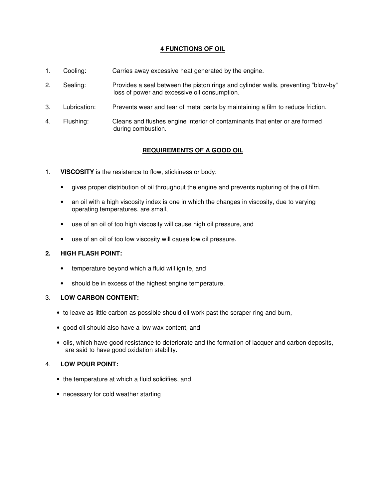# **4 FUNCTIONS OF OIL**

- 1. Cooling: Carries away excessive heat generated by the engine.
- 2. Sealing: Provides a seal between the piston rings and cylinder walls, preventing "blow-by" loss of power and excessive oil consumption.
- 3. Lubrication: Prevents wear and tear of metal parts by maintaining a film to reduce friction.
- 4. Flushing: Cleans and flushes engine interior of contaminants that enter or are formed during combustion.

# **REQUIREMENTS OF A GOOD OIL**

- 1. **VISCOSITY** is the resistance to flow, stickiness or body:
	- gives proper distribution of oil throughout the engine and prevents rupturing of the oil film,
	- an oil with a high viscosity index is one in which the changes in viscosity, due to varying operating temperatures, are small,
	- use of an oil of too high viscosity will cause high oil pressure, and
	- use of an oil of too low viscosity will cause low oil pressure.

#### **2. HIGH FLASH POINT:**

- temperature beyond which a fluid will ignite, and
- should be in excess of the highest engine temperature.

# 3. **LOW CARBON CONTENT:**

- to leave as little carbon as possible should oil work past the scraper ring and burn,
- good oil should also have a low wax content, and
- oils, which have good resistance to deteriorate and the formation of lacquer and carbon deposits, are said to have good oxidation stability.

# 4. **LOW POUR POINT:**

- the temperature at which a fluid solidifies, and
- necessary for cold weather starting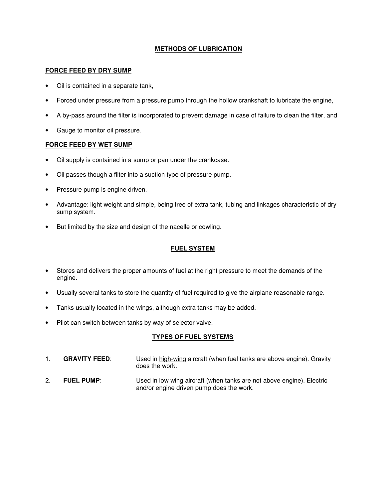# **METHODS OF LUBRICATION**

### **FORCE FEED BY DRY SUMP**

- Oil is contained in a separate tank,
- Forced under pressure from a pressure pump through the hollow crankshaft to lubricate the engine,
- A by-pass around the filter is incorporated to prevent damage in case of failure to clean the filter, and
- Gauge to monitor oil pressure.

#### **FORCE FEED BY WET SUMP**

- Oil supply is contained in a sump or pan under the crankcase.
- Oil passes though a filter into a suction type of pressure pump.
- Pressure pump is engine driven.
- Advantage: light weight and simple, being free of extra tank, tubing and linkages characteristic of dry sump system.
- But limited by the size and design of the nacelle or cowling.

# **FUEL SYSTEM**

- Stores and delivers the proper amounts of fuel at the right pressure to meet the demands of the engine.
- Usually several tanks to store the quantity of fuel required to give the airplane reasonable range.
- Tanks usually located in the wings, although extra tanks may be added.
- Pilot can switch between tanks by way of selector valve.

# **TYPES OF FUEL SYSTEMS**

- 1. **GRAVITY FEED**: Used in high-wing aircraft (when fuel tanks are above engine). Gravity does the work.
- 2. **FUEL PUMP**: Used in low wing aircraft (when tanks are not above engine). Electric and/or engine driven pump does the work.